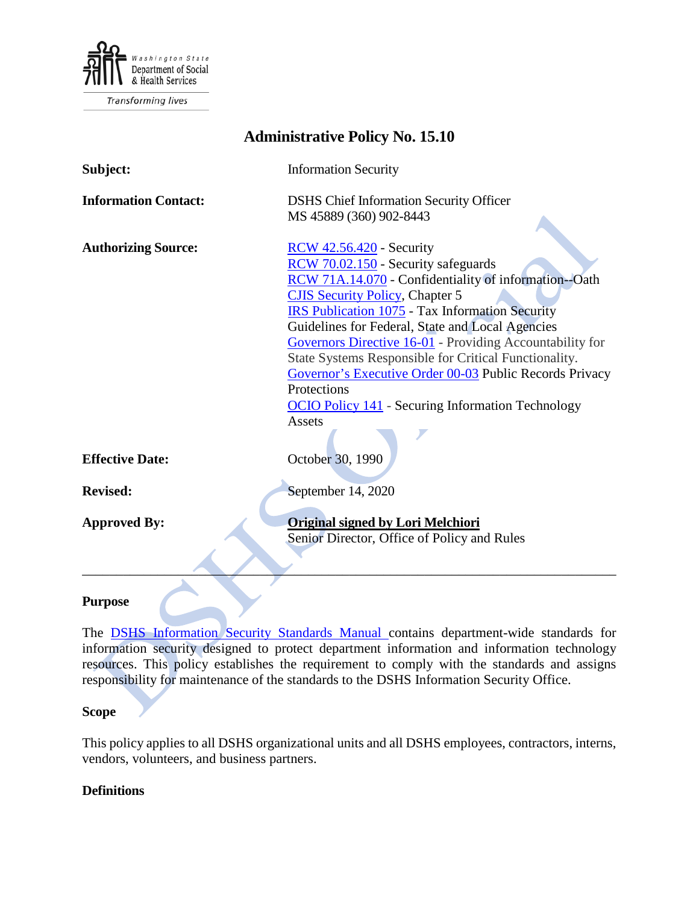

Transforming lives

| <b>Administrative Policy No. 15.10</b> |                                                                                                                                                                                                                                                                                                                                                                                                                                                                                                                                                              |
|----------------------------------------|--------------------------------------------------------------------------------------------------------------------------------------------------------------------------------------------------------------------------------------------------------------------------------------------------------------------------------------------------------------------------------------------------------------------------------------------------------------------------------------------------------------------------------------------------------------|
| Subject:                               | <b>Information Security</b>                                                                                                                                                                                                                                                                                                                                                                                                                                                                                                                                  |
| <b>Information Contact:</b>            | <b>DSHS</b> Chief Information Security Officer<br>MS 45889 (360) 902-8443                                                                                                                                                                                                                                                                                                                                                                                                                                                                                    |
|                                        |                                                                                                                                                                                                                                                                                                                                                                                                                                                                                                                                                              |
| <b>Authorizing Source:</b>             | <b>RCW</b> 42.56.420 - Security<br>RCW 70.02.150 - Security safeguards<br>RCW 71A.14.070 - Confidentiality of information--Oath<br><b>CJIS Security Policy, Chapter 5</b><br><b>IRS Publication 1075</b> - Tax Information Security<br>Guidelines for Federal, State and Local Agencies<br>Governors Directive 16-01 - Providing Accountability for<br>State Systems Responsible for Critical Functionality.<br>Governor's Executive Order 00-03 Public Records Privacy<br>Protections<br><b>OCIO Policy 141</b> - Securing Information Technology<br>Assets |
|                                        |                                                                                                                                                                                                                                                                                                                                                                                                                                                                                                                                                              |
| <b>Effective Date:</b>                 | October 30, 1990                                                                                                                                                                                                                                                                                                                                                                                                                                                                                                                                             |
| <b>Revised:</b>                        | September 14, 2020                                                                                                                                                                                                                                                                                                                                                                                                                                                                                                                                           |
| <b>Approved By:</b>                    | <b>Original signed by Lori Melchiori</b><br>Senior Director, Office of Policy and Rules                                                                                                                                                                                                                                                                                                                                                                                                                                                                      |
| Purpose                                |                                                                                                                                                                                                                                                                                                                                                                                                                                                                                                                                                              |

#### **Purpose**

The [DSHS Information Security Standards Manual](http://ishare.dshs.wa.lcl/Security/Manuals/Pages/default.aspx) contains department-wide standards for information security designed to protect department information and information technology resources. This policy establishes the requirement to comply with the standards and assigns responsibility for maintenance of the standards to the DSHS Information Security Office.

### **Scope**

This policy applies to all DSHS organizational units and all DSHS employees, contractors, interns, vendors, volunteers, and business partners.

#### **Definitions**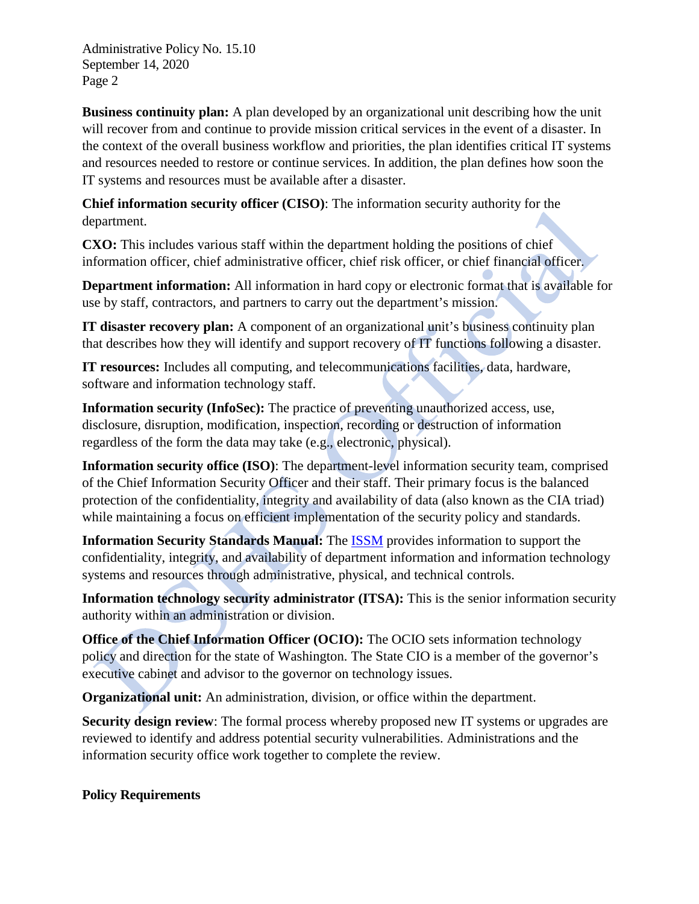**Business continuity plan:** A plan developed by an organizational unit describing how the unit will recover from and continue to provide mission critical services in the event of a disaster. In the context of the overall business workflow and priorities, the plan identifies critical IT systems and resources needed to restore or continue services. In addition, the plan defines how soon the IT systems and resources must be available after a disaster.

**Chief information security officer (CISO)**: The information security authority for the department.

**CXO:** This includes various staff within the department holding the positions of chief information officer, chief administrative officer, chief risk officer, or chief financial officer.

**Department information:** All information in hard copy or electronic format that is available for use by staff, contractors, and partners to carry out the department's mission.

**IT disaster recovery plan:** A component of an organizational unit's business continuity plan that describes how they will identify and support recovery of IT functions following a disaster.

**IT resources:** Includes all computing, and telecommunications facilities, data, hardware, software and information technology staff.

**Information security (InfoSec):** The practice of preventing unauthorized access, use, disclosure, disruption, modification, inspection, recording or destruction of information regardless of the form the data may take (e.g., electronic, physical).

**Information security office (ISO)**: The department-level information security team, comprised of the Chief Information Security Officer and their staff. Their primary focus is the balanced protection of the confidentiality, integrity and availability of data (also known as the CIA triad) while maintaining a focus on efficient implementation of the security policy and standards.

**Information Security Standards Manual:** The [ISSM](http://ishare.dshs.wa.lcl/Security/Manuals/Pages/default.aspx) provides information to support the confidentiality, integrity, and availability of department information and information technology systems and resources through administrative, physical, and technical controls.

**Information technology security administrator (ITSA):** This is the senior information security authority within an administration or division.

**Office of the Chief Information Officer (OCIO):** The OCIO sets information technology policy and direction for the state of Washington. The State CIO is a member of the governor's executive cabinet and advisor to the governor on technology issues.

**Organizational unit:** An administration, division, or office within the department.

**Security design review**: The formal process whereby proposed new IT systems or upgrades are reviewed to identify and address potential security vulnerabilities. Administrations and the information security office work together to complete the review.

# **Policy Requirements**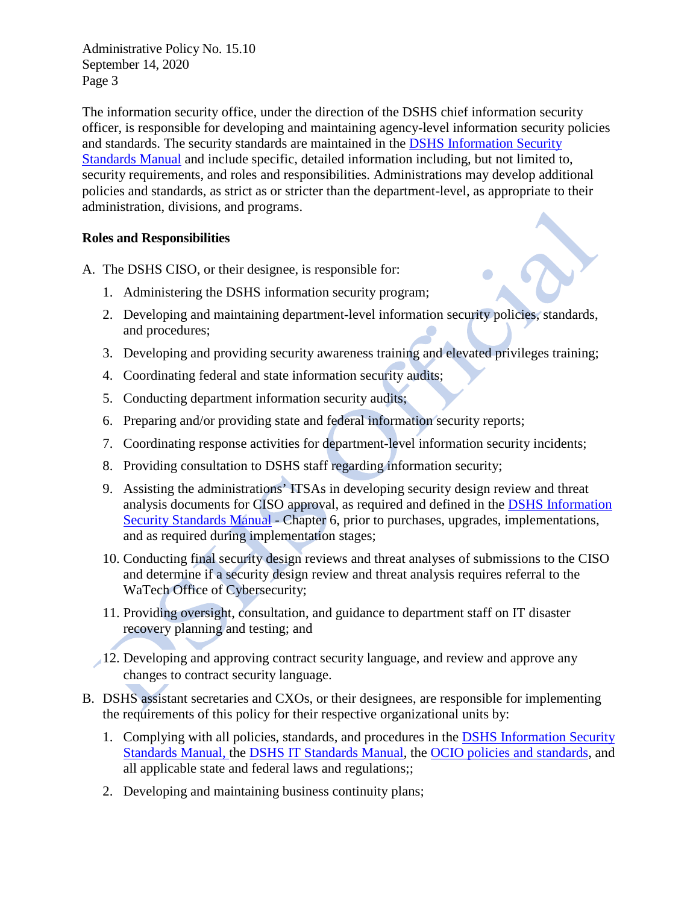The information security office, under the direction of the DSHS chief information security officer, is responsible for developing and maintaining agency-level information security policies and standards. The security standards are maintained in the [DSHS Information Security](http://ishare.dshs.wa.lcl/Security/Manuals/Pages/default.aspx)  [Standards Manual](http://ishare.dshs.wa.lcl/Security/Manuals/Pages/default.aspx) and include specific, detailed information including, but not limited to, security requirements, and roles and responsibilities. Administrations may develop additional policies and standards, as strict as or stricter than the department-level, as appropriate to their administration, divisions, and programs.

## **Roles and Responsibilities**

A. The DSHS CISO, or their designee, is responsible for:

- 1. Administering the DSHS information security program;
- 2. Developing and maintaining department-level information security policies, standards, and procedures;
- 3. Developing and providing security awareness training and elevated privileges training;
- 4. Coordinating federal and state information security audits;
- 5. Conducting department information security audits;
- 6. Preparing and/or providing state and federal information security reports;
- 7. Coordinating response activities for department-level information security incidents;
- 8. Providing consultation to DSHS staff regarding information security;
- 9. Assisting the administrations' ITSAs in developing security design review and threat analysis documents for CISO approval, as required and defined in the [DSHS Information](http://ishare.dshs.wa.lcl/Security/Manuals/Pages/default.aspx)  [Security Standards Manual](http://ishare.dshs.wa.lcl/Security/Manuals/Pages/default.aspx) - Chapter 6, prior to purchases, upgrades, implementations, and as required during implementation stages;
- 10. Conducting final security design reviews and threat analyses of submissions to the CISO and determine if a security design review and threat analysis requires referral to the WaTech Office of Cybersecurity;
- 11. Providing oversight, consultation, and guidance to department staff on IT disaster recovery planning and testing; and
- 12. Developing and approving contract security language, and review and approve any changes to contract security language.
- B. DSHS assistant secretaries and CXOs, or their designees, are responsible for implementing the requirements of this policy for their respective organizational units by:
	- 1. Complying with all policies, standards, and procedures in the [DSHS Information Security](http://ishare.dshs.wa.lcl/security/manuals/standards/Pages/default.aspx)  [Standards Manual,](http://ishare.dshs.wa.lcl/security/manuals/standards/Pages/default.aspx) the [DSHS IT Standards Manual,](http://intra.dshs.wa.lcl/itstandards/index.stm) the [OCIO policies and standards,](https://ocio.wa.gov/policies) and all applicable state and federal laws and regulations;;
	- 2. Developing and maintaining business continuity plans;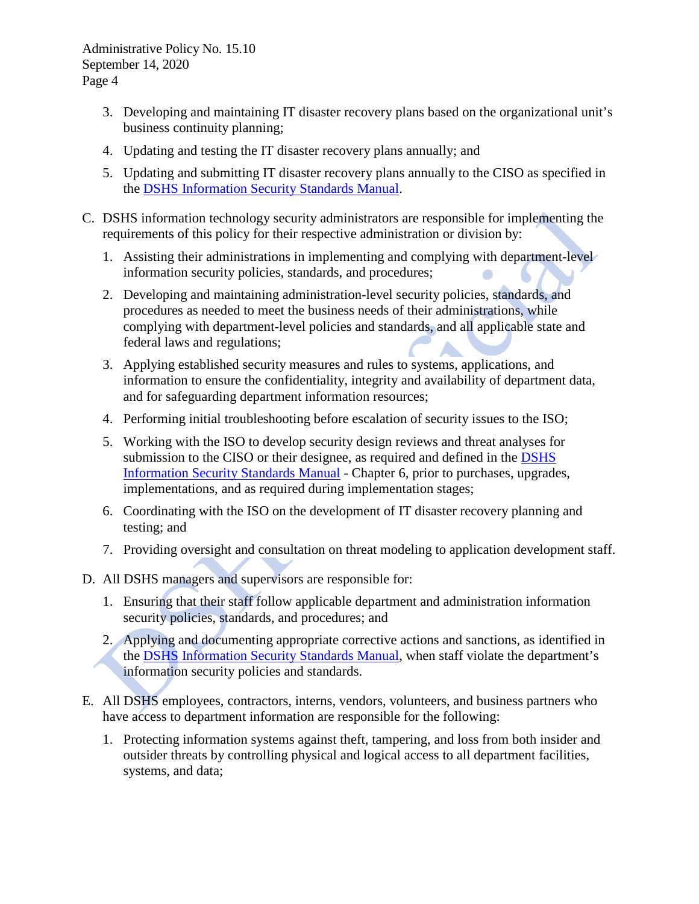- 3. Developing and maintaining IT disaster recovery plans based on the organizational unit's business continuity planning;
- 4. Updating and testing the IT disaster recovery plans annually; and
- 5. Updating and submitting IT disaster recovery plans annually to the CISO as specified in the [DSHS Information Security Standards Manual.](http://ishare.dshs.wa.lcl/Security/Manuals/Pages/default.aspx)
- C. DSHS information technology security administrators are responsible for implementing the requirements of this policy for their respective administration or division by:
	- 1. Assisting their administrations in implementing and complying with department-level information security policies, standards, and procedures;
	- 2. Developing and maintaining administration-level security policies, standards, and procedures as needed to meet the business needs of their administrations, while complying with department-level policies and standards, and all applicable state and federal laws and regulations;
	- 3. Applying established security measures and rules to systems, applications, and information to ensure the confidentiality, integrity and availability of department data, and for safeguarding department information resources;
	- 4. Performing initial troubleshooting before escalation of security issues to the ISO;
	- 5. Working with the ISO to develop security design reviews and threat analyses for submission to the CISO or their designee, as required and defined in the DSHS [Information Security Standards Manual](http://ishare.dshs.wa.lcl/Security/Manuals/Pages/default.aspx) - Chapter 6, prior to purchases, upgrades, implementations, and as required during implementation stages;
	- 6. Coordinating with the ISO on the development of IT disaster recovery planning and testing; and
	- 7. Providing oversight and consultation on threat modeling to application development staff.
- D. All DSHS managers and supervisors are responsible for:
	- 1. Ensuring that their staff follow applicable department and administration information security policies, standards, and procedures; and
	- 2. Applying and documenting appropriate corrective actions and sanctions, as identified in the [DSHS Information Security Standards Manual,](http://ishare.dshs.wa.lcl/Security/Manuals/Pages/default.aspx) when staff violate the department's information security policies and standards.
- E. All DSHS employees, contractors, interns, vendors, volunteers, and business partners who have access to department information are responsible for the following:
	- 1. Protecting information systems against theft, tampering, and loss from both insider and outsider threats by controlling physical and logical access to all department facilities, systems, and data;